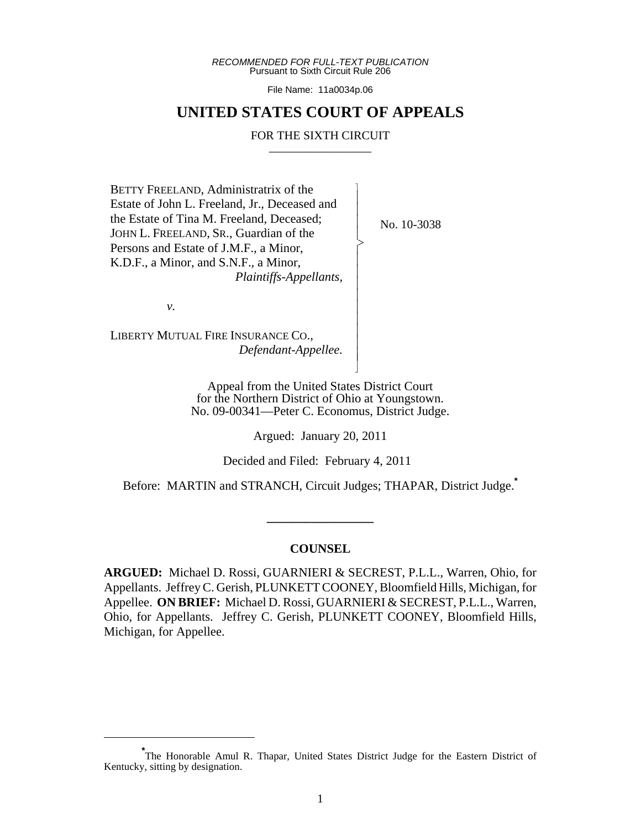*RECOMMENDED FOR FULL-TEXT PUBLICATION* Pursuant to Sixth Circuit Rule 206

File Name: 11a0034p.06

# **UNITED STATES COURT OF APPEALS**

## FOR THE SIXTH CIRCUIT

 $\overline{\phantom{a}}$ - - - > , - - - - - - - - - N

BETTY FREELAND, Administratrix of the Estate of John L. Freeland, Jr., Deceased and the Estate of Tina M. Freeland, Deceased; JOHN L. FREELAND, SR., Guardian of the Persons and Estate of J.M.F., a Minor, K.D.F., a Minor, and S.N.F., a Minor,  *Plaintiffs-Appellants,*

No. 10-3038

*v.*

LIBERTY MUTUAL FIRE INSURANCE CO.,  *Defendant-Appellee.*

> Appeal from the United States District Court for the Northern District of Ohio at Youngstown. No. 09-00341—Peter C. Economus, District Judge.

> > Argued: January 20, 2011

Decided and Filed: February 4, 2011

Before: MARTIN and STRANCH, Circuit Judges; THAPAR, District Judge.**\***

## **COUNSEL**

**\_\_\_\_\_\_\_\_\_\_\_\_\_\_\_\_\_**

**ARGUED:** Michael D. Rossi, GUARNIERI & SECREST, P.L.L., Warren, Ohio, for Appellants. Jeffrey C. Gerish, PLUNKETT COONEY, Bloomfield Hills, Michigan, for Appellee. **ON BRIEF:** Michael D. Rossi, GUARNIERI & SECREST, P.L.L., Warren, Ohio, for Appellants. Jeffrey C. Gerish, PLUNKETT COONEY, Bloomfield Hills, Michigan, for Appellee.

**<sup>\*</sup>** The Honorable Amul R. Thapar, United States District Judge for the Eastern District of Kentucky, sitting by designation.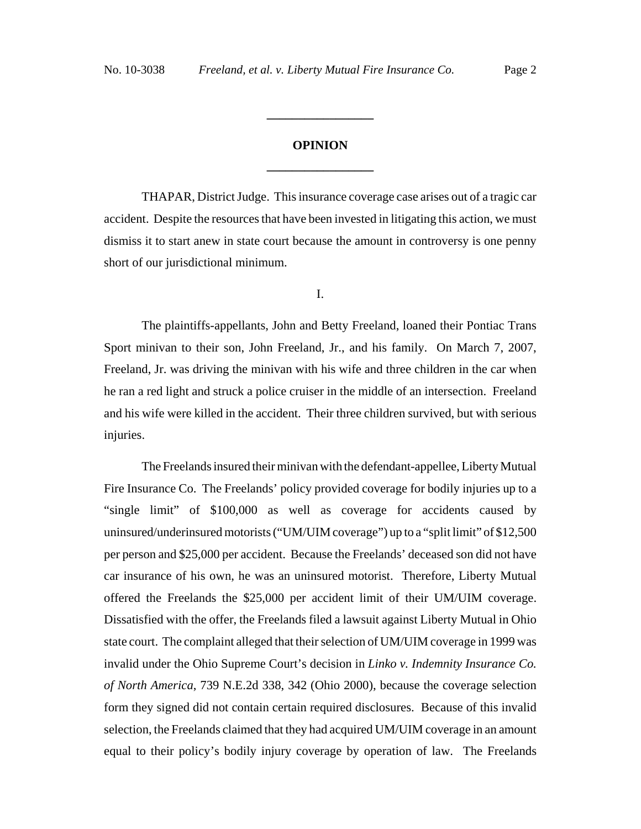# **OPINION \_\_\_\_\_\_\_\_\_\_\_\_\_\_\_\_\_**

**\_\_\_\_\_\_\_\_\_\_\_\_\_\_\_\_\_**

THAPAR, District Judge. This insurance coverage case arises out of a tragic car accident. Despite the resources that have been invested in litigating this action, we must dismiss it to start anew in state court because the amount in controversy is one penny short of our jurisdictional minimum.

I.

The plaintiffs-appellants, John and Betty Freeland, loaned their Pontiac Trans Sport minivan to their son, John Freeland, Jr., and his family. On March 7, 2007, Freeland, Jr. was driving the minivan with his wife and three children in the car when he ran a red light and struck a police cruiser in the middle of an intersection. Freeland and his wife were killed in the accident. Their three children survived, but with serious injuries.

The Freelands insured their minivan with the defendant-appellee, Liberty Mutual Fire Insurance Co. The Freelands' policy provided coverage for bodily injuries up to a "single limit" of \$100,000 as well as coverage for accidents caused by uninsured/underinsured motorists ("UM/UIM coverage") up to a "split limit" of \$12,500 per person and \$25,000 per accident. Because the Freelands' deceased son did not have car insurance of his own, he was an uninsured motorist. Therefore, Liberty Mutual offered the Freelands the \$25,000 per accident limit of their UM/UIM coverage. Dissatisfied with the offer, the Freelands filed a lawsuit against Liberty Mutual in Ohio state court. The complaint alleged that their selection of UM/UIM coverage in 1999 was invalid under the Ohio Supreme Court's decision in *Linko v. Indemnity Insurance Co. of North America*, 739 N.E.2d 338, 342 (Ohio 2000), because the coverage selection form they signed did not contain certain required disclosures. Because of this invalid selection, the Freelands claimed that they had acquired UM/UIM coverage in an amount equal to their policy's bodily injury coverage by operation of law. The Freelands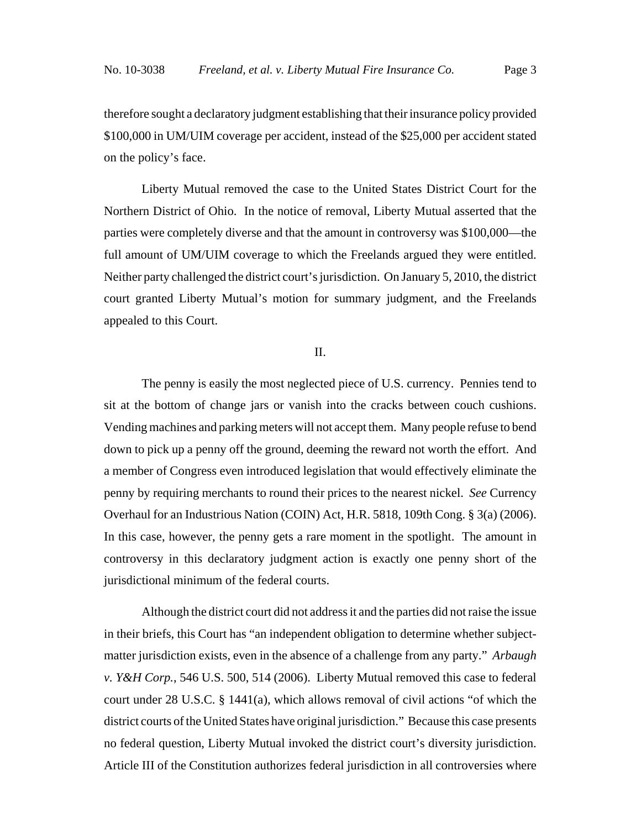therefore sought a declaratory judgment establishing that their insurance policy provided \$100,000 in UM/UIM coverage per accident, instead of the \$25,000 per accident stated on the policy's face.

Liberty Mutual removed the case to the United States District Court for the Northern District of Ohio. In the notice of removal, Liberty Mutual asserted that the parties were completely diverse and that the amount in controversy was \$100,000—the full amount of UM/UIM coverage to which the Freelands argued they were entitled. Neither party challenged the district court's jurisdiction. On January 5, 2010, the district court granted Liberty Mutual's motion for summary judgment, and the Freelands appealed to this Court.

# II.

The penny is easily the most neglected piece of U.S. currency. Pennies tend to sit at the bottom of change jars or vanish into the cracks between couch cushions. Vending machines and parking meters will not accept them. Many people refuse to bend down to pick up a penny off the ground, deeming the reward not worth the effort. And a member of Congress even introduced legislation that would effectively eliminate the penny by requiring merchants to round their prices to the nearest nickel. *See* Currency Overhaul for an Industrious Nation (COIN) Act, H.R. 5818, 109th Cong. § 3(a) (2006). In this case, however, the penny gets a rare moment in the spotlight. The amount in controversy in this declaratory judgment action is exactly one penny short of the jurisdictional minimum of the federal courts.

Although the district court did not address it and the parties did not raise the issue in their briefs, this Court has "an independent obligation to determine whether subjectmatter jurisdiction exists, even in the absence of a challenge from any party." *Arbaugh v. Y&H Corp.*, 546 U.S. 500, 514 (2006). Liberty Mutual removed this case to federal court under 28 U.S.C. § 1441(a), which allows removal of civil actions "of which the district courts of the United States have original jurisdiction." Because this case presents no federal question, Liberty Mutual invoked the district court's diversity jurisdiction. Article III of the Constitution authorizes federal jurisdiction in all controversies where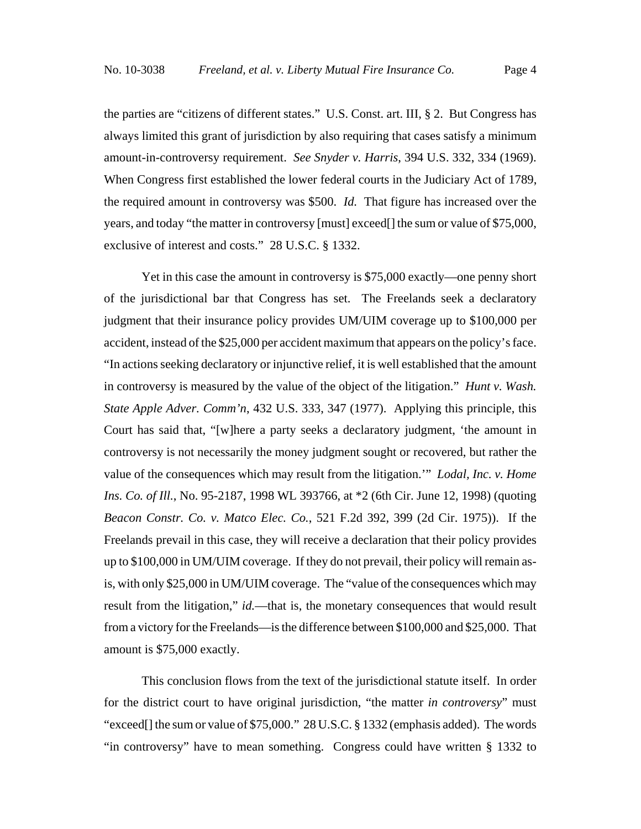the parties are "citizens of different states." U.S. Const. art. III, § 2. But Congress has always limited this grant of jurisdiction by also requiring that cases satisfy a minimum amount-in-controversy requirement. *See Snyder v. Harris*, 394 U.S. 332, 334 (1969). When Congress first established the lower federal courts in the Judiciary Act of 1789, the required amount in controversy was \$500. *Id.* That figure has increased over the years, and today "the matter in controversy [must] exceed[] the sum or value of \$75,000, exclusive of interest and costs." 28 U.S.C. § 1332.

Yet in this case the amount in controversy is \$75,000 exactly—one penny short of the jurisdictional bar that Congress has set. The Freelands seek a declaratory judgment that their insurance policy provides UM/UIM coverage up to \$100,000 per accident, instead of the \$25,000 per accident maximum that appears on the policy's face. "In actions seeking declaratory or injunctive relief, it is well established that the amount in controversy is measured by the value of the object of the litigation." *Hunt v. Wash. State Apple Adver. Comm'n*, 432 U.S. 333, 347 (1977). Applying this principle, this Court has said that, "[w]here a party seeks a declaratory judgment, 'the amount in controversy is not necessarily the money judgment sought or recovered, but rather the value of the consequences which may result from the litigation.'" *Lodal, Inc. v. Home Ins. Co. of Ill.*, No. 95-2187, 1998 WL 393766, at  $*2$  (6th Cir. June 12, 1998) (quoting *Beacon Constr. Co. v. Matco Elec. Co.*, 521 F.2d 392, 399 (2d Cir. 1975)). If the Freelands prevail in this case, they will receive a declaration that their policy provides up to \$100,000 in UM/UIM coverage. If they do not prevail, their policy will remain asis, with only \$25,000 in UM/UIM coverage. The "value of the consequences which may result from the litigation," *id.*—that is, the monetary consequences that would result from a victory for the Freelands—is the difference between \$100,000 and \$25,000. That amount is \$75,000 exactly.

This conclusion flows from the text of the jurisdictional statute itself. In order for the district court to have original jurisdiction, "the matter *in controversy*" must "exceed[] the sum or value of \$75,000." 28 U.S.C. § 1332 (emphasis added). The words "in controversy" have to mean something. Congress could have written § 1332 to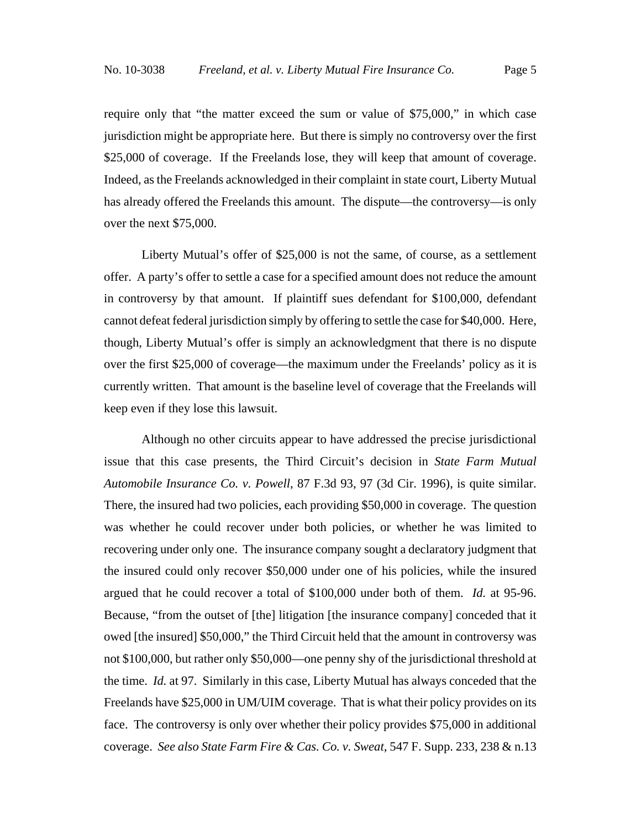require only that "the matter exceed the sum or value of \$75,000," in which case jurisdiction might be appropriate here. But there is simply no controversy over the first \$25,000 of coverage. If the Freelands lose, they will keep that amount of coverage. Indeed, as the Freelands acknowledged in their complaint in state court, Liberty Mutual has already offered the Freelands this amount. The dispute—the controversy—is only over the next \$75,000.

Liberty Mutual's offer of \$25,000 is not the same, of course, as a settlement offer. A party's offer to settle a case for a specified amount does not reduce the amount in controversy by that amount. If plaintiff sues defendant for \$100,000, defendant cannot defeat federal jurisdiction simply by offering to settle the case for \$40,000. Here, though, Liberty Mutual's offer is simply an acknowledgment that there is no dispute over the first \$25,000 of coverage—the maximum under the Freelands' policy as it is currently written. That amount is the baseline level of coverage that the Freelands will keep even if they lose this lawsuit.

Although no other circuits appear to have addressed the precise jurisdictional issue that this case presents, the Third Circuit's decision in *State Farm Mutual Automobile Insurance Co. v. Powell*, 87 F.3d 93, 97 (3d Cir. 1996), is quite similar. There, the insured had two policies, each providing \$50,000 in coverage. The question was whether he could recover under both policies, or whether he was limited to recovering under only one. The insurance company sought a declaratory judgment that the insured could only recover \$50,000 under one of his policies, while the insured argued that he could recover a total of \$100,000 under both of them. *Id.* at 95-96. Because, "from the outset of [the] litigation [the insurance company] conceded that it owed [the insured] \$50,000," the Third Circuit held that the amount in controversy was not \$100,000, but rather only \$50,000—one penny shy of the jurisdictional threshold at the time. *Id.* at 97. Similarly in this case, Liberty Mutual has always conceded that the Freelands have \$25,000 in UM/UIM coverage. That is what their policy provides on its face. The controversy is only over whether their policy provides \$75,000 in additional coverage. *See also State Farm Fire & Cas. Co. v. Sweat*, 547 F. Supp. 233, 238 & n.13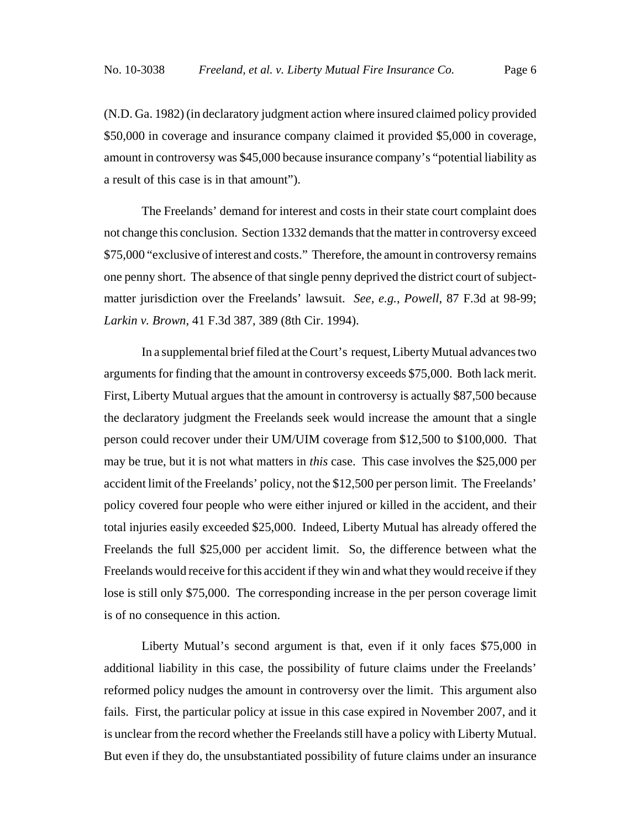(N.D. Ga. 1982) (in declaratory judgment action where insured claimed policy provided \$50,000 in coverage and insurance company claimed it provided \$5,000 in coverage, amount in controversy was \$45,000 because insurance company's "potential liability as a result of this case is in that amount").

The Freelands' demand for interest and costs in their state court complaint does not change this conclusion. Section 1332 demands that the matter in controversy exceed \$75,000 "exclusive of interest and costs." Therefore, the amount in controversy remains one penny short. The absence of that single penny deprived the district court of subjectmatter jurisdiction over the Freelands' lawsuit. *See, e.g.*, *Powell*, 87 F.3d at 98-99; *Larkin v. Brown*, 41 F.3d 387, 389 (8th Cir. 1994).

In a supplemental brief filed at the Court's request, Liberty Mutual advances two arguments for finding that the amount in controversy exceeds \$75,000. Both lack merit. First, Liberty Mutual argues that the amount in controversy is actually \$87,500 because the declaratory judgment the Freelands seek would increase the amount that a single person could recover under their UM/UIM coverage from \$12,500 to \$100,000. That may be true, but it is not what matters in *this* case. This case involves the \$25,000 per accident limit of the Freelands' policy, not the \$12,500 per person limit. The Freelands' policy covered four people who were either injured or killed in the accident, and their total injuries easily exceeded \$25,000. Indeed, Liberty Mutual has already offered the Freelands the full \$25,000 per accident limit. So, the difference between what the Freelands would receive for this accident if they win and what they would receive if they lose is still only \$75,000. The corresponding increase in the per person coverage limit is of no consequence in this action.

Liberty Mutual's second argument is that, even if it only faces \$75,000 in additional liability in this case, the possibility of future claims under the Freelands' reformed policy nudges the amount in controversy over the limit. This argument also fails. First, the particular policy at issue in this case expired in November 2007, and it is unclear from the record whether the Freelands still have a policy with Liberty Mutual. But even if they do, the unsubstantiated possibility of future claims under an insurance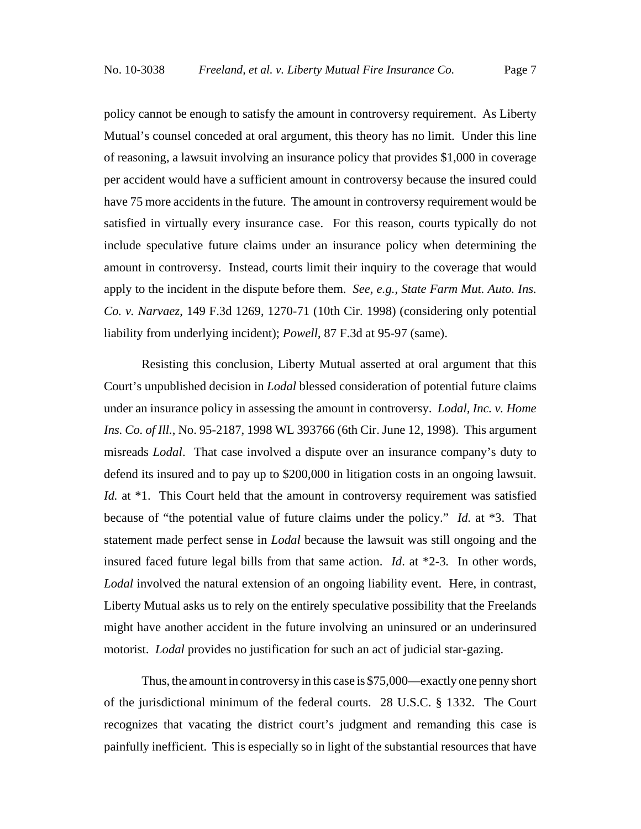policy cannot be enough to satisfy the amount in controversy requirement. As Liberty Mutual's counsel conceded at oral argument, this theory has no limit. Under this line of reasoning, a lawsuit involving an insurance policy that provides \$1,000 in coverage per accident would have a sufficient amount in controversy because the insured could have 75 more accidents in the future. The amount in controversy requirement would be satisfied in virtually every insurance case. For this reason, courts typically do not include speculative future claims under an insurance policy when determining the amount in controversy. Instead, courts limit their inquiry to the coverage that would apply to the incident in the dispute before them. *See, e.g.*, *State Farm Mut. Auto. Ins. Co. v. Narvaez*, 149 F.3d 1269, 1270-71 (10th Cir. 1998) (considering only potential liability from underlying incident); *Powell*, 87 F.3d at 95-97 (same).

Resisting this conclusion, Liberty Mutual asserted at oral argument that this Court's unpublished decision in *Lodal* blessed consideration of potential future claims under an insurance policy in assessing the amount in controversy. *Lodal, Inc. v. Home Ins. Co. of Ill.*, No. 95-2187, 1998 WL 393766 (6th Cir. June 12, 1998). This argument misreads *Lodal*. That case involved a dispute over an insurance company's duty to defend its insured and to pay up to \$200,000 in litigation costs in an ongoing lawsuit. *Id.* at \*1. This Court held that the amount in controversy requirement was satisfied because of "the potential value of future claims under the policy." *Id.* at \*3. That statement made perfect sense in *Lodal* because the lawsuit was still ongoing and the insured faced future legal bills from that same action. *Id*. at \*2-3*.* In other words, Lodal involved the natural extension of an ongoing liability event. Here, in contrast, Liberty Mutual asks us to rely on the entirely speculative possibility that the Freelands might have another accident in the future involving an uninsured or an underinsured motorist. *Lodal* provides no justification for such an act of judicial star-gazing.

Thus, the amount in controversy in this case is \$75,000—exactly one penny short of the jurisdictional minimum of the federal courts. 28 U.S.C. § 1332. The Court recognizes that vacating the district court's judgment and remanding this case is painfully inefficient. This is especially so in light of the substantial resources that have